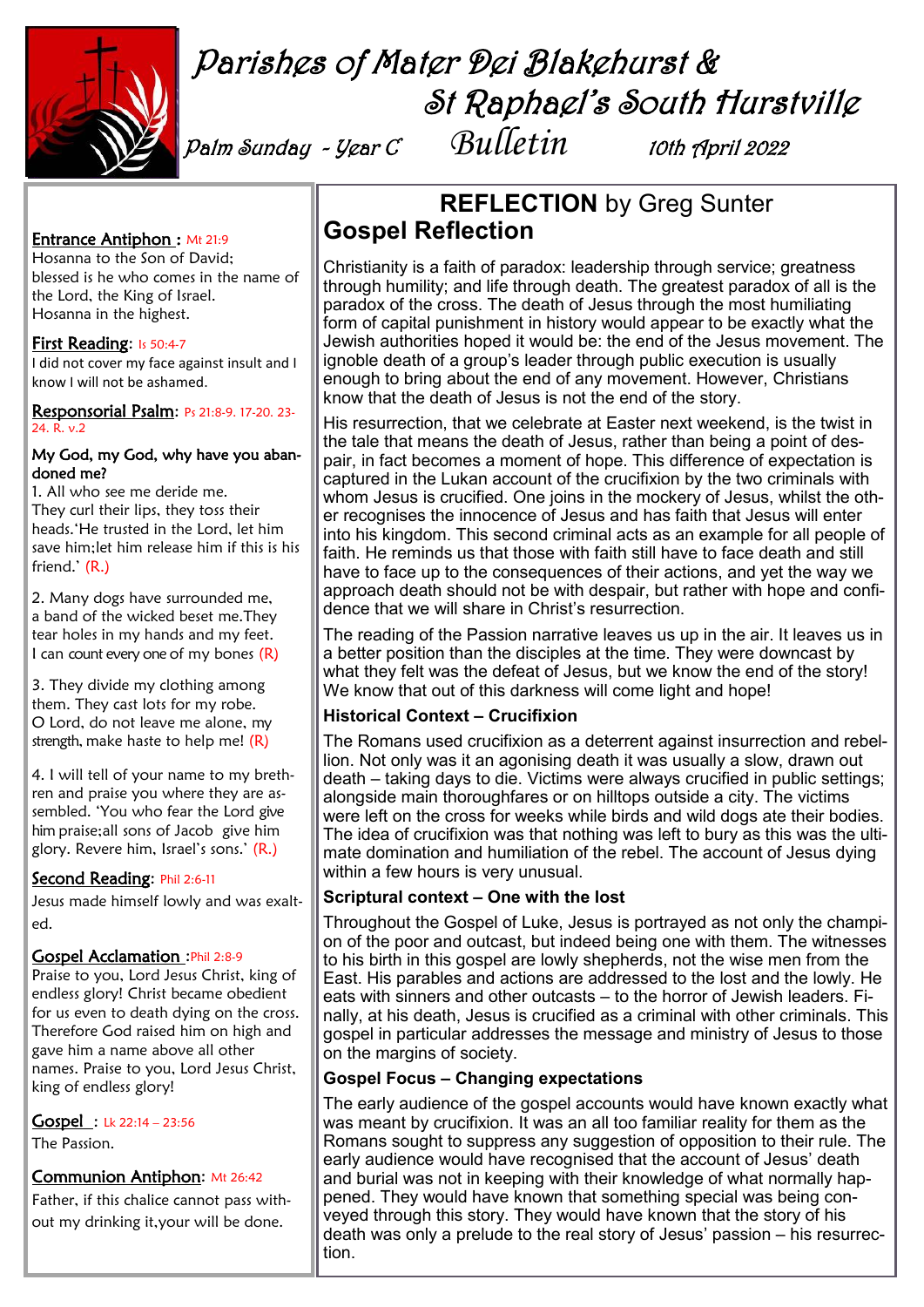

# Parishes of Mater Dei Blakehurst & St Raphael's South Hurstville Palm Sunday - Year C *Bulletin* 10th April 2022

## Entrance Antiphon : Mt 21:9

Hosanna to the Son of David; blessed is he who comes in the name of the Lord, the King of Israel. Hosanna in the highest.

#### First Reading: Is 50:4-7

I did not cover my face against insult and I know I will not be ashamed.

#### Responsorial Psalm: Ps 21:8-9. 17-20. 23- 24. R. v.2

#### My God, my God, why have you abandoned me?

1. All who see me deride me. They curl their lips, they toss their heads.'He trusted in the Lord, let him save him;let him release him if this is his friend.' (R.)

2. Many dogs have surrounded me, a band of the wicked beset me.They tear holes in my hands and my feet. I can count every one of my bones  $(R)$ 

3. They divide my clothing among them. They cast lots for my robe. O Lord, do not leave me alone, my strength, make haste to help me! (R)

4. I will tell of your name to my brethren and praise you where they are assembled. 'You who fear the Lord give him praise;all sons of Jacob give him glory. Revere him, Israel's sons.' (R.)

### Second Reading: Phil 2:6-11

Jesus made himself lowly and was exalted.

#### Gospel Acclamation :Phil 2:8-9

Praise to you, Lord Jesus Christ, king of endless glory! Christ became obedient for us even to death dying on the cross. Therefore God raised him on high and gave him a name above all other names. Praise to you, Lord Jesus Christ, king of endless glory!

Gospel : Lk 22:14 – 23:56 The Passion.

### Communion Antiphon: Mt 26:42

Father, if this chalice cannot pass without my drinking it,your will be done.

# **REFLECTION** by Greg Sunter **Gospel Reflection**

Christianity is a faith of paradox: leadership through service; greatness through humility; and life through death. The greatest paradox of all is the paradox of the cross. The death of Jesus through the most humiliating form of capital punishment in history would appear to be exactly what the Jewish authorities hoped it would be: the end of the Jesus movement. The ignoble death of a group's leader through public execution is usually enough to bring about the end of any movement. However, Christians know that the death of Jesus is not the end of the story.

His resurrection, that we celebrate at Easter next weekend, is the twist in the tale that means the death of Jesus, rather than being a point of despair, in fact becomes a moment of hope. This difference of expectation is captured in the Lukan account of the crucifixion by the two criminals with whom Jesus is crucified. One joins in the mockery of Jesus, whilst the other recognises the innocence of Jesus and has faith that Jesus will enter into his kingdom. This second criminal acts as an example for all people of faith. He reminds us that those with faith still have to face death and still have to face up to the consequences of their actions, and yet the way we approach death should not be with despair, but rather with hope and confidence that we will share in Christ's resurrection.

The reading of the Passion narrative leaves us up in the air. It leaves us in a better position than the disciples at the time. They were downcast by what they felt was the defeat of Jesus, but we know the end of the story! We know that out of this darkness will come light and hope!

### **Historical Context – Crucifixion**

The Romans used crucifixion as a deterrent against insurrection and rebellion. Not only was it an agonising death it was usually a slow, drawn out death – taking days to die. Victims were always crucified in public settings; alongside main thoroughfares or on hilltops outside a city. The victims were left on the cross for weeks while birds and wild dogs ate their bodies. The idea of crucifixion was that nothing was left to bury as this was the ultimate domination and humiliation of the rebel. The account of Jesus dying within a few hours is very unusual.

### **Scriptural context – One with the lost**

Throughout the Gospel of Luke, Jesus is portrayed as not only the champion of the poor and outcast, but indeed being one with them. The witnesses to his birth in this gospel are lowly shepherds, not the wise men from the East. His parables and actions are addressed to the lost and the lowly. He eats with sinners and other outcasts – to the horror of Jewish leaders. Finally, at his death, Jesus is crucified as a criminal with other criminals. This gospel in particular addresses the message and ministry of Jesus to those on the margins of society.

### **Gospel Focus – Changing expectations**

The early audience of the gospel accounts would have known exactly what was meant by crucifixion. It was an all too familiar reality for them as the Romans sought to suppress any suggestion of opposition to their rule. The early audience would have recognised that the account of Jesus' death and burial was not in keeping with their knowledge of what normally happened. They would have known that something special was being conveyed through this story. They would have known that the story of his death was only a prelude to the real story of Jesus' passion – his resurrection.